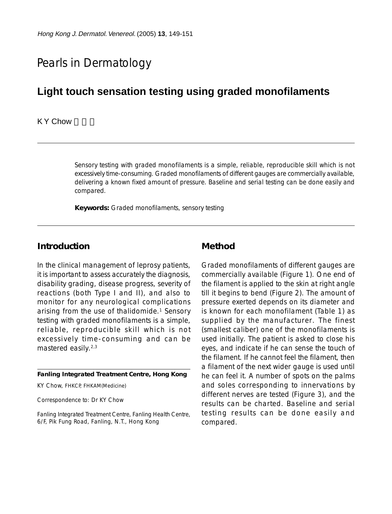# Pearls in Dermatology

## **Light touch sensation testing using graded monofilaments**

#### **KY Chow**

Sensory testing with graded monofilaments is a simple, reliable, reproducible skill which is not excessively time-consuming. Graded monofilaments of different gauges are commercially available, delivering a known fixed amount of pressure. Baseline and serial testing can be done easily and compared.

**Keywords:** Graded monofilaments, sensory testing

#### **Introduction**

In the clinical management of leprosy patients, it is important to assess accurately the diagnosis, disability grading, disease progress, severity of reactions (both Type I and II), and also to monitor for any neurological complications arising from the use of thalidomide.<sup>1</sup> Sensory testing with graded monofilaments is a simple, reliable, reproducible skill which is not excessively time-consuming and can be mastered easily.2,3

**Fanling Integrated Treatment Centre, Hong Kong**

KY Chow, FHKCP, FHKAM(Medicine)

Correspondence to: Dr KY Chow

Fanling Integrated Treatment Centre, Fanling Health Centre, 6/F, Pik Fung Road, Fanling, N.T., Hong Kong

#### **Method**

Graded monofilaments of different gauges are commercially available (Figure 1). One end of the filament is applied to the skin at right angle till it begins to bend (Figure 2). The amount of pressure exerted depends on its diameter and is known for each monofilament (Table 1) as supplied by the manufacturer. The finest (smallest caliber) one of the monofilaments is used initially. The patient is asked to close his eyes, and indicate if he can sense the touch of the filament. If he cannot feel the filament, then a filament of the next wider gauge is used until he can feel it. A number of spots on the palms and soles corresponding to innervations by different nerves are tested (Figure 3), and the results can be charted. Baseline and serial testing results can be done easily and compared.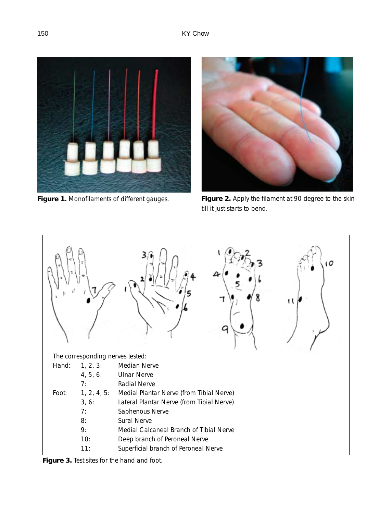



**Figure 1.** Monofilaments of different gauges. **Figure 2.** Apply the filament at 90 degree to the skin till it just starts to bend.



**Figure 3.** Test sites for the hand and foot.